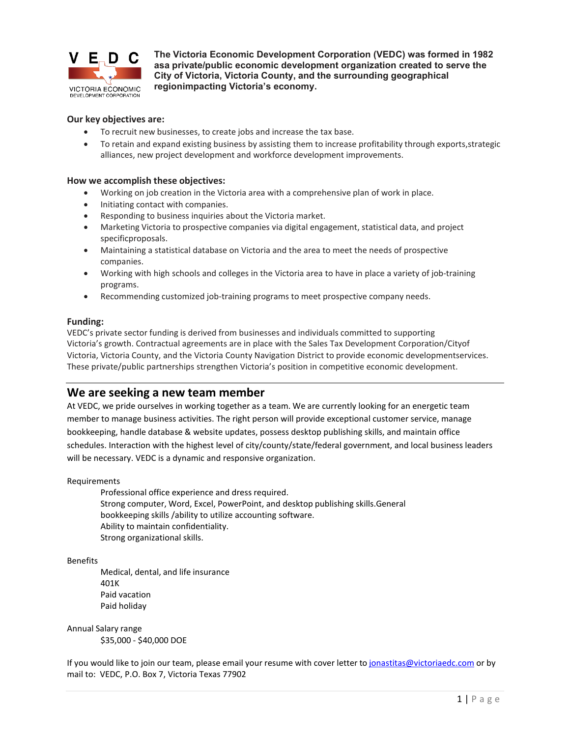

**The Victoria Economic Development Corporation (VEDC) was formed in 1982 asa private/public economic development organization created to serve the City of Victoria, Victoria County, and the surrounding geographical regionimpacting Victoria's economy.**

#### **Our key objectives are:**

- To recruit new businesses, to create jobs and increase the tax base.
- To retain and expand existing business by assisting them to increase profitability through exports,strategic alliances, new project development and workforce development improvements.

#### **How we accomplish these objectives:**

- Working on job creation in the Victoria area with a comprehensive plan of work in place.
- Initiating contact with companies.
- Responding to business inquiries about the Victoria market.
- Marketing Victoria to prospective companies via digital engagement, statistical data, and project specificproposals.
- Maintaining a statistical database on Victoria and the area to meet the needs of prospective companies.
- Working with high schools and colleges in the Victoria area to have in place a variety of job-training programs.
- Recommending customized job-training programs to meet prospective company needs.

#### **Funding:**

VEDC's private sector funding is derived from businesses and individuals committed to supporting Victoria's growth. Contractual agreements are in place with the Sales Tax Development Corporation/Cityof Victoria, Victoria County, and the Victoria County Navigation District to provide economic developmentservices. These private/public partnerships strengthen Victoria's position in competitive economic development.

# **We are seeking a new team member**

At VEDC, we pride ourselves in working together as a team. We are currently looking for an energetic team member to manage business activities. The right person will provide exceptional customer service, manage bookkeeping, handle database & website updates, possess desktop publishing skills, and maintain office schedules. Interaction with the highest level of city/county/state/federal government, and local business leaders will be necessary. VEDC is a dynamic and responsive organization.

Requirements

Professional office experience and dress required. Strong computer, Word, Excel, PowerPoint, and desktop publishing skills.General bookkeeping skills /ability to utilize accounting software. Ability to maintain confidentiality. Strong organizational skills.

Benefits

Medical, dental, and life insurance 401K Paid vacation Paid holiday

Annual Salary range \$35,000 - \$40,000 DOE

If you would like to join our team, please email your resume with cover letter t[o jonastitas@victoriaedc.com](mailto:jonastitas@victoriaedc.com) or by mail to: VEDC, P.O. Box 7, Victoria Texas 77902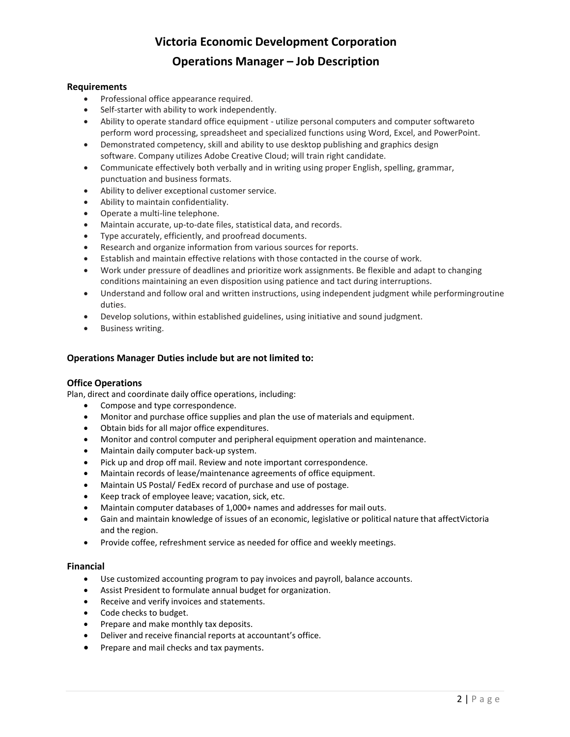# **Victoria Economic Development Corporation**

# **Operations Manager – Job Description**

# **Requirements**

- Professional office appearance required.
- Self-starter with ability to work independently.
- Ability to operate standard office equipment utilize personal computers and computer softwareto perform word processing, spreadsheet and specialized functions using Word, Excel, and PowerPoint.
- Demonstrated competency, skill and ability to use desktop publishing and graphics design software. Company utilizes Adobe Creative Cloud; will train right candidate.
- Communicate effectively both verbally and in writing using proper English, spelling, grammar, punctuation and business formats.
- Ability to deliver exceptional customer service.
- Ability to maintain confidentiality.
- Operate a multi-line telephone.
- Maintain accurate, up-to-date files, statistical data, and records.
- Type accurately, efficiently, and proofread documents.
- Research and organize information from various sources for reports.
- Establish and maintain effective relations with those contacted in the course of work.
- Work under pressure of deadlines and prioritize work assignments. Be flexible and adapt to changing conditions maintaining an even disposition using patience and tact during interruptions.
- Understand and follow oral and written instructions, using independent judgment while performingroutine duties.
- Develop solutions, within established guidelines, using initiative and sound judgment.
- Business writing.

# **Operations Manager Duties include but are not limited to:**

#### **Office Operations**

Plan, direct and coordinate daily office operations, including:

- Compose and type correspondence.
- Monitor and purchase office supplies and plan the use of materials and equipment.
- Obtain bids for all major office expenditures.
- Monitor and control computer and peripheral equipment operation and maintenance.
- Maintain daily computer back-up system.
- Pick up and drop off mail. Review and note important correspondence.
- Maintain records of lease/maintenance agreements of office equipment.
- Maintain US Postal/ FedEx record of purchase and use of postage.
- Keep track of employee leave; vacation, sick, etc.
- Maintain computer databases of 1,000+ names and addresses for mail outs.
- Gain and maintain knowledge of issues of an economic, legislative or political nature that affectVictoria and the region.
- Provide coffee, refreshment service as needed for office and weekly meetings.

#### **Financial**

- Use customized accounting program to pay invoices and payroll, balance accounts.
- Assist President to formulate annual budget for organization.
- Receive and verify invoices and statements.
- Code checks to budget.
- Prepare and make monthly tax deposits.
- Deliver and receive financial reports at accountant's office.
- Prepare and mail checks and tax payments.